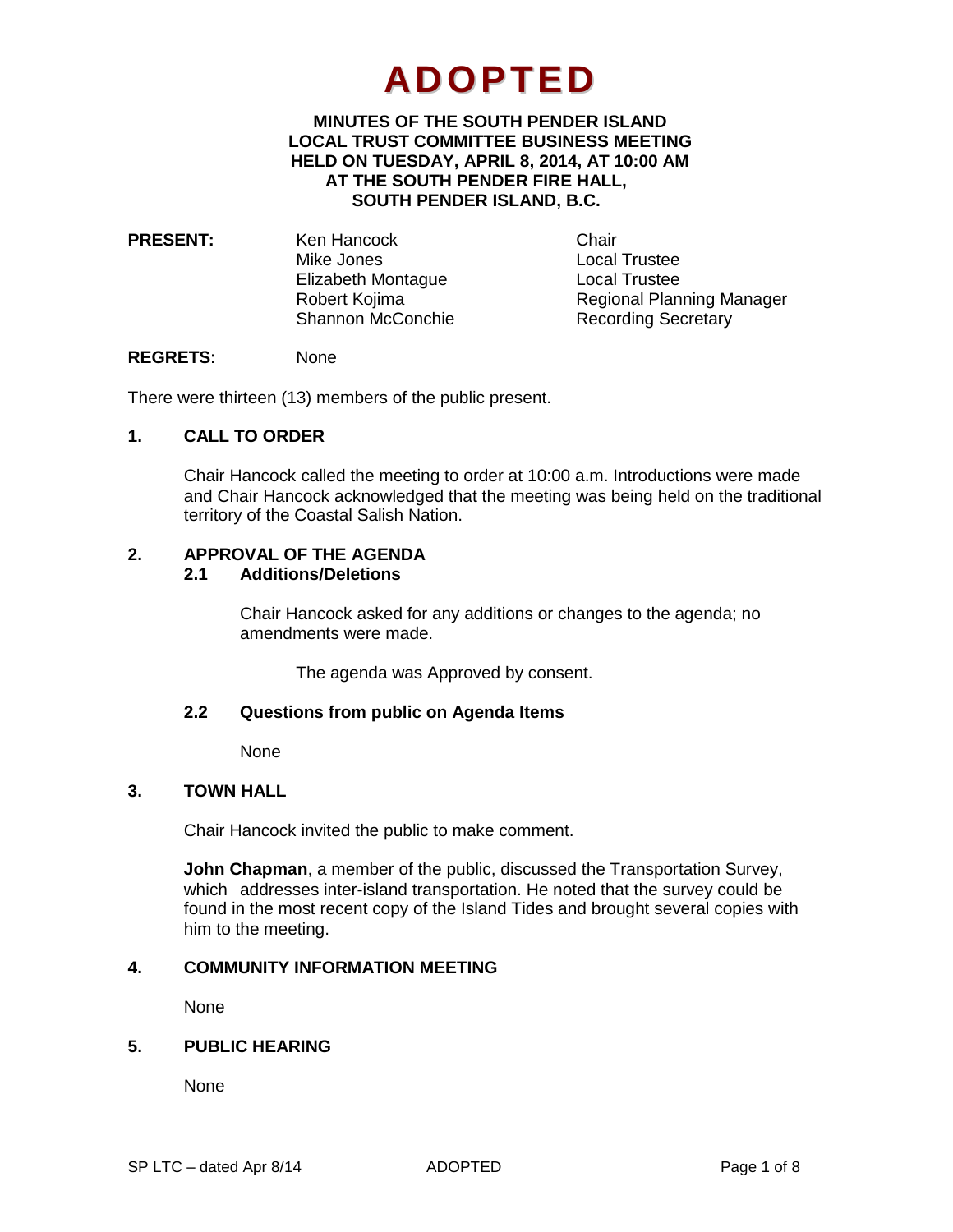# **ADOPTED**

## **MINUTES OF THE SOUTH PENDER ISLAND LOCAL TRUST COMMITTEE BUSINESS MEETING HELD ON TUESDAY, APRIL 8, 2014, AT 10:00 AM AT THE SOUTH PENDER FIRE HALL, SOUTH PENDER ISLAND, B.C.**

**PRESENT:** Ken Hancock Chair Mike Jones Local Trustee Elizabeth Montague Local Trustee

Robert Kojima<br>
Shannon McConchie<br>
Recording Secretary Recording Secretary

## **REGRETS:** None

There were thirteen (13) members of the public present.

# **1. CALL TO ORDER**

Chair Hancock called the meeting to order at 10:00 a.m. Introductions were made and Chair Hancock acknowledged that the meeting was being held on the traditional territory of the Coastal Salish Nation.

# **2. APPROVAL OF THE AGENDA**

# **2.1 Additions/Deletions**

Chair Hancock asked for any additions or changes to the agenda; no amendments were made.

The agenda was Approved by consent.

#### **2.2 Questions from public on Agenda Items**

None

## **3. TOWN HALL**

Chair Hancock invited the public to make comment.

**John Chapman**, a member of the public, discussed the Transportation Survey, which addresses inter-island transportation. He noted that the survey could be found in the most recent copy of the Island Tides and brought several copies with him to the meeting.

# **4. COMMUNITY INFORMATION MEETING**

None

# **5. PUBLIC HEARING**

None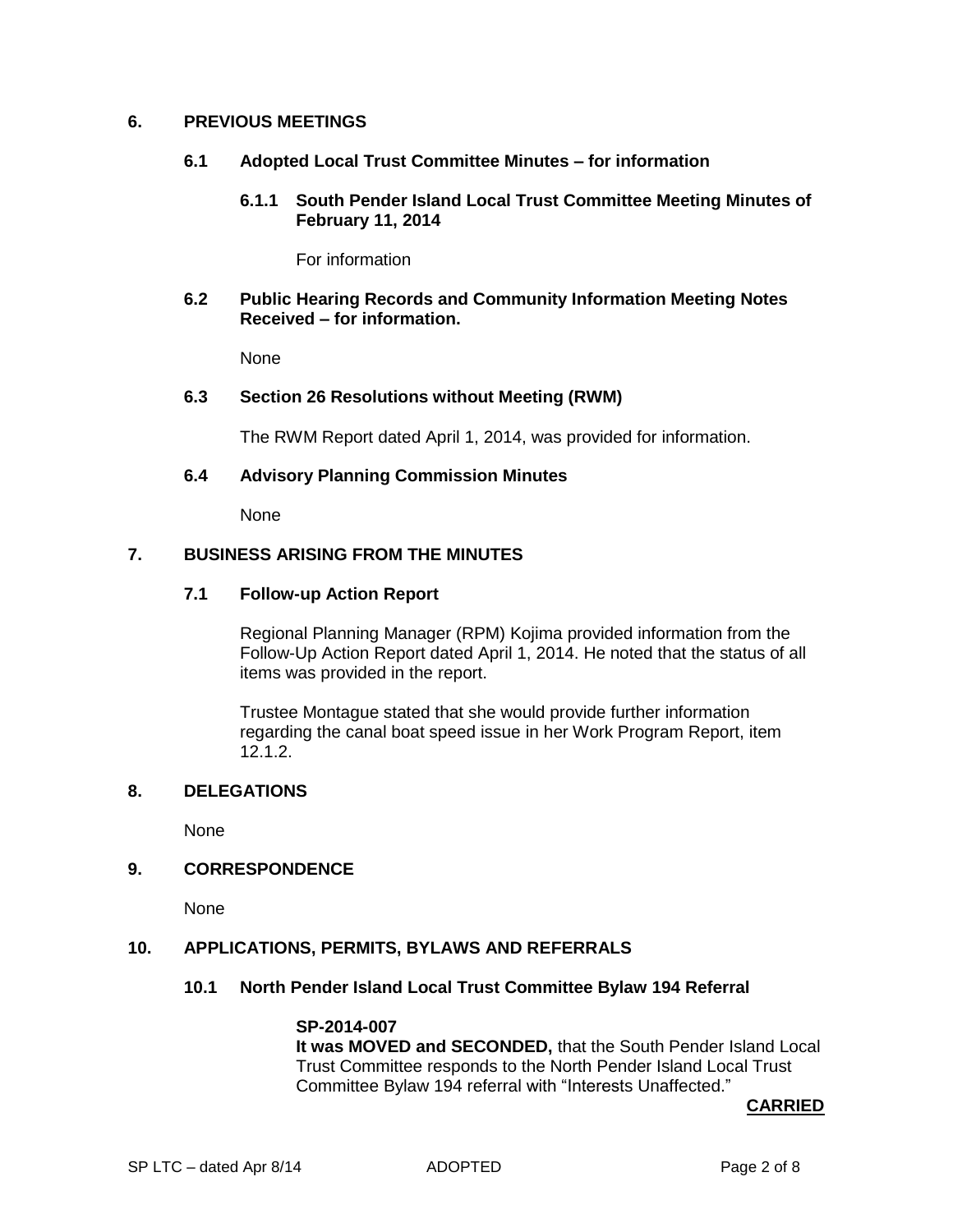#### **6. PREVIOUS MEETINGS**

- **6.1 Adopted Local Trust Committee Minutes – for information**
	- **6.1.1 South Pender Island Local Trust Committee Meeting Minutes of February 11, 2014**

For information

#### **6.2 Public Hearing Records and Community Information Meeting Notes Received – for information.**

None

#### **6.3 Section 26 Resolutions without Meeting (RWM)**

The RWM Report dated April 1, 2014, was provided for information.

## **6.4 Advisory Planning Commission Minutes**

None

## **7. BUSINESS ARISING FROM THE MINUTES**

# **7.1 Follow-up Action Report**

Regional Planning Manager (RPM) Kojima provided information from the Follow-Up Action Report dated April 1, 2014. He noted that the status of all items was provided in the report.

Trustee Montague stated that she would provide further information regarding the canal boat speed issue in her Work Program Report, item 12.1.2.

## **8. DELEGATIONS**

None

#### **9. CORRESPONDENCE**

None

#### **10. APPLICATIONS, PERMITS, BYLAWS AND REFERRALS**

#### **10.1 North Pender Island Local Trust Committee Bylaw 194 Referral**

# **SP-2014-007**

**It was MOVED and SECONDED,** that the South Pender Island Local Trust Committee responds to the North Pender Island Local Trust Committee Bylaw 194 referral with "Interests Unaffected."

**CARRIED**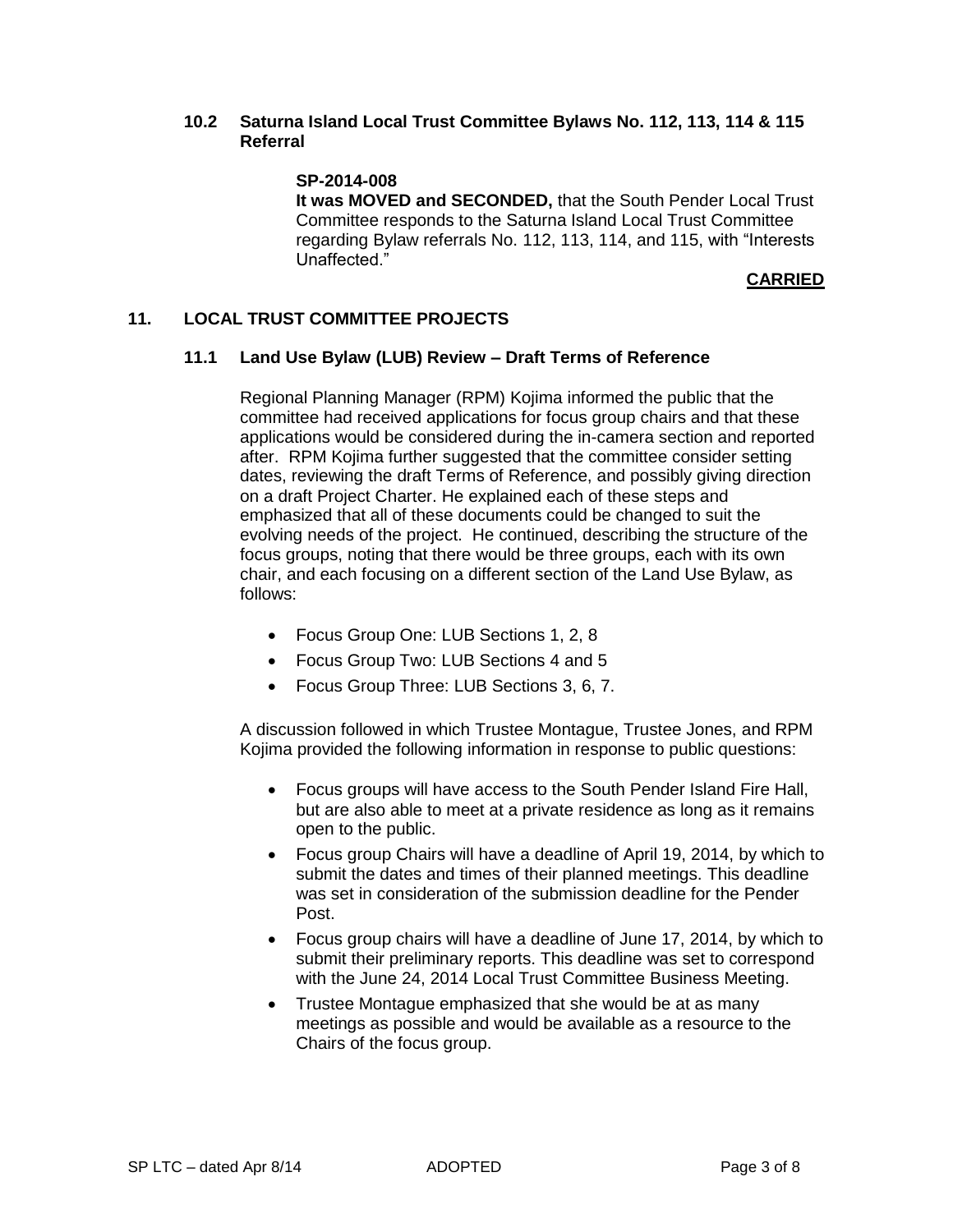## **10.2 Saturna Island Local Trust Committee Bylaws No. 112, 113, 114 & 115 Referral**

## **SP-2014-008**

**It was MOVED and SECONDED,** that the South Pender Local Trust Committee responds to the Saturna Island Local Trust Committee regarding Bylaw referrals No. 112, 113, 114, and 115, with "Interests Unaffected."

**CARRIED**

## **11. LOCAL TRUST COMMITTEE PROJECTS**

#### **11.1 Land Use Bylaw (LUB) Review – Draft Terms of Reference**

Regional Planning Manager (RPM) Kojima informed the public that the committee had received applications for focus group chairs and that these applications would be considered during the in-camera section and reported after. RPM Kojima further suggested that the committee consider setting dates, reviewing the draft Terms of Reference, and possibly giving direction on a draft Project Charter. He explained each of these steps and emphasized that all of these documents could be changed to suit the evolving needs of the project. He continued, describing the structure of the focus groups, noting that there would be three groups, each with its own chair, and each focusing on a different section of the Land Use Bylaw, as follows:

- Focus Group One: LUB Sections 1, 2, 8
- Focus Group Two: LUB Sections 4 and 5
- Focus Group Three: LUB Sections 3, 6, 7.

A discussion followed in which Trustee Montague, Trustee Jones, and RPM Kojima provided the following information in response to public questions:

- Focus groups will have access to the South Pender Island Fire Hall, but are also able to meet at a private residence as long as it remains open to the public.
- Focus group Chairs will have a deadline of April 19, 2014, by which to submit the dates and times of their planned meetings. This deadline was set in consideration of the submission deadline for the Pender Post.
- Focus group chairs will have a deadline of June 17, 2014, by which to submit their preliminary reports. This deadline was set to correspond with the June 24, 2014 Local Trust Committee Business Meeting.
- Trustee Montague emphasized that she would be at as many meetings as possible and would be available as a resource to the Chairs of the focus group.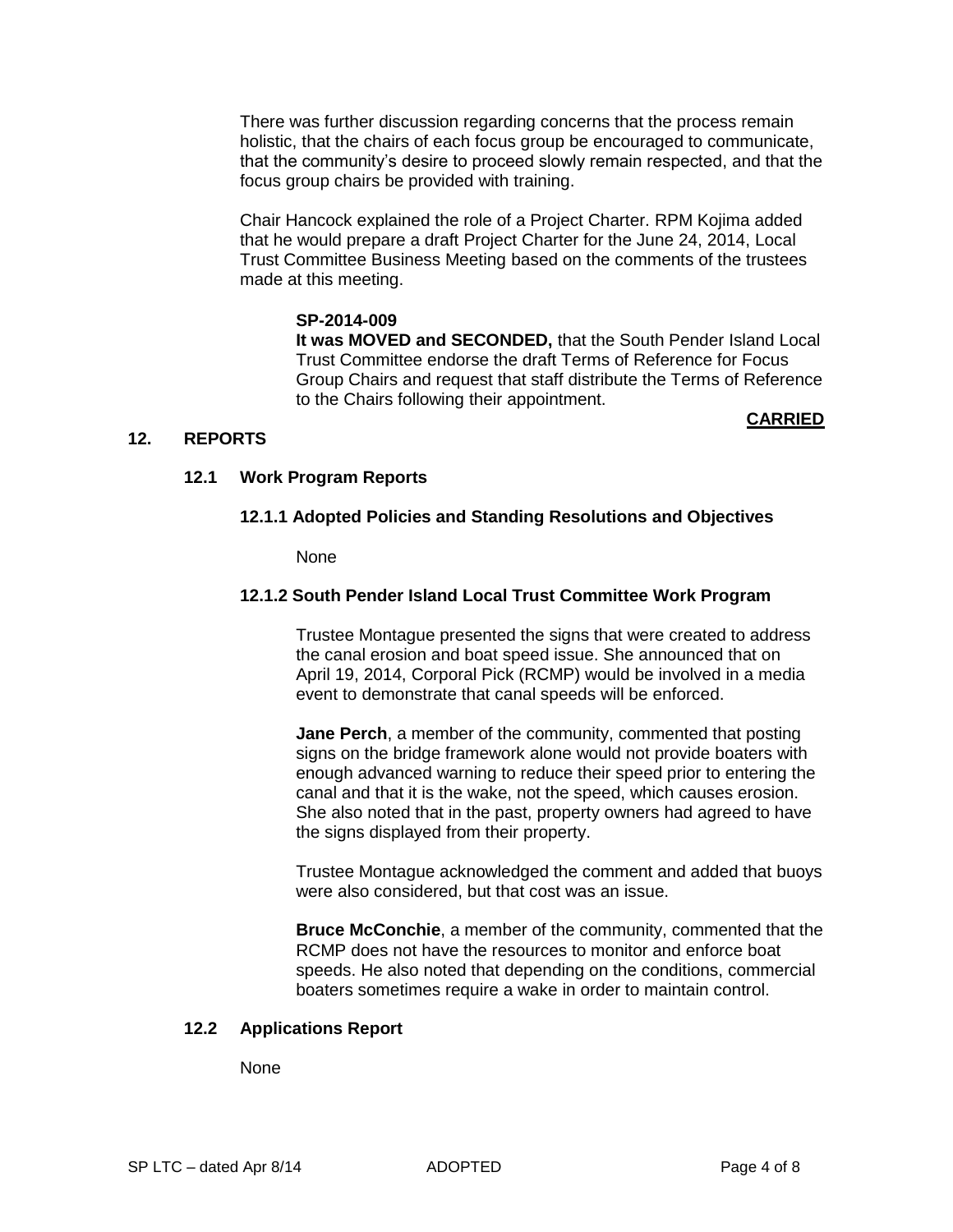There was further discussion regarding concerns that the process remain holistic, that the chairs of each focus group be encouraged to communicate, that the community's desire to proceed slowly remain respected, and that the focus group chairs be provided with training.

Chair Hancock explained the role of a Project Charter. RPM Kojima added that he would prepare a draft Project Charter for the June 24, 2014, Local Trust Committee Business Meeting based on the comments of the trustees made at this meeting.

#### **SP-2014-009**

**It was MOVED and SECONDED,** that the South Pender Island Local Trust Committee endorse the draft Terms of Reference for Focus Group Chairs and request that staff distribute the Terms of Reference to the Chairs following their appointment.

## **12. REPORTS**

#### **CARRIED**

## **12.1 Work Program Reports**

## **12.1.1 Adopted Policies and Standing Resolutions and Objectives**

None

## **12.1.2 South Pender Island Local Trust Committee Work Program**

Trustee Montague presented the signs that were created to address the canal erosion and boat speed issue. She announced that on April 19, 2014, Corporal Pick (RCMP) would be involved in a media event to demonstrate that canal speeds will be enforced.

**Jane Perch**, a member of the community, commented that posting signs on the bridge framework alone would not provide boaters with enough advanced warning to reduce their speed prior to entering the canal and that it is the wake, not the speed, which causes erosion. She also noted that in the past, property owners had agreed to have the signs displayed from their property.

Trustee Montague acknowledged the comment and added that buoys were also considered, but that cost was an issue.

**Bruce McConchie**, a member of the community, commented that the RCMP does not have the resources to monitor and enforce boat speeds. He also noted that depending on the conditions, commercial boaters sometimes require a wake in order to maintain control.

#### **12.2 Applications Report**

None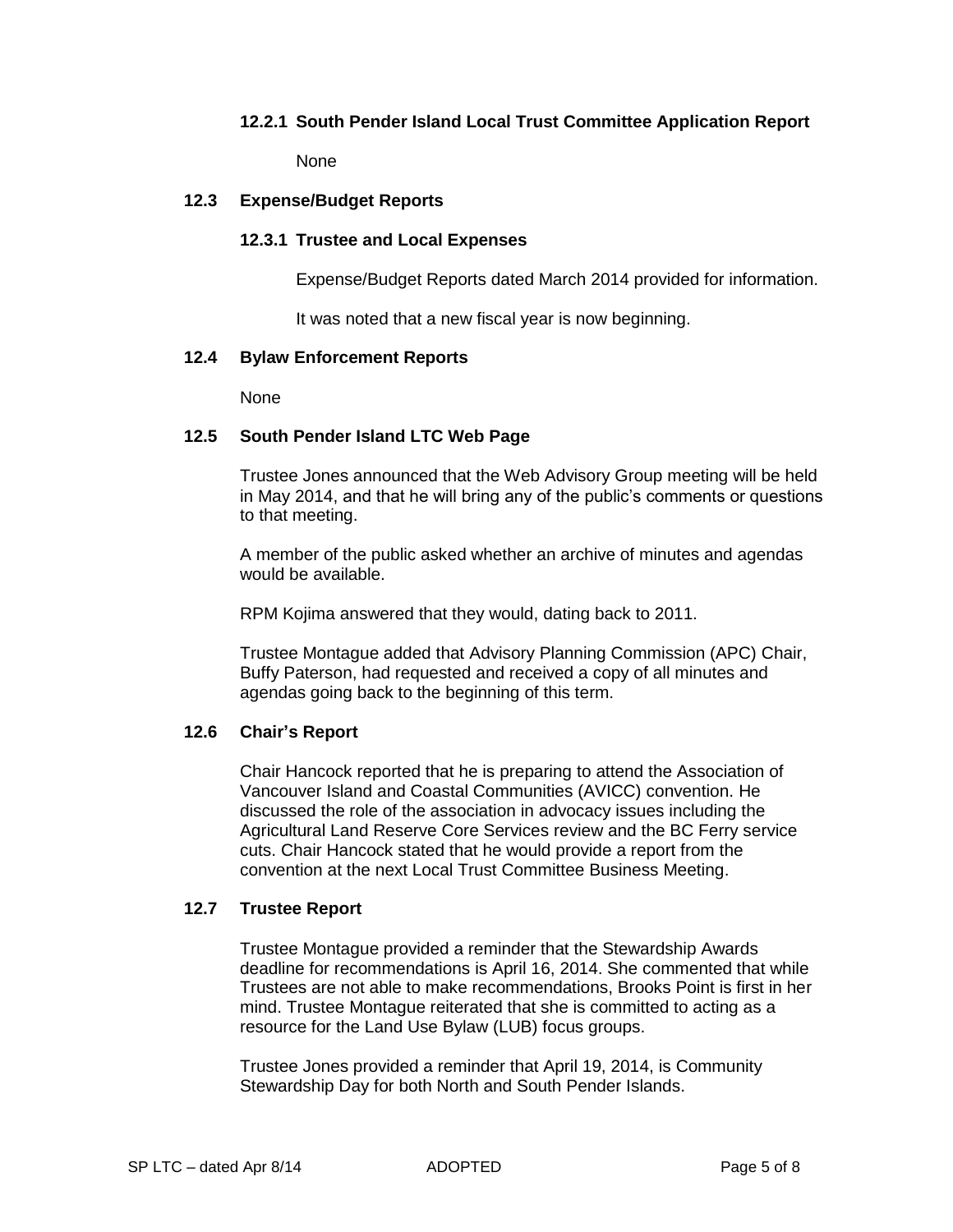## **12.2.1 South Pender Island Local Trust Committee Application Report**

None

#### **12.3 Expense/Budget Reports**

## **12.3.1 Trustee and Local Expenses**

Expense/Budget Reports dated March 2014 provided for information.

It was noted that a new fiscal year is now beginning.

#### **12.4 Bylaw Enforcement Reports**

None

## **12.5 South Pender Island LTC Web Page**

Trustee Jones announced that the Web Advisory Group meeting will be held in May 2014, and that he will bring any of the public's comments or questions to that meeting.

A member of the public asked whether an archive of minutes and agendas would be available.

RPM Kojima answered that they would, dating back to 2011.

Trustee Montague added that Advisory Planning Commission (APC) Chair, Buffy Paterson, had requested and received a copy of all minutes and agendas going back to the beginning of this term.

#### **12.6 Chair's Report**

Chair Hancock reported that he is preparing to attend the Association of Vancouver Island and Coastal Communities (AVICC) convention. He discussed the role of the association in advocacy issues including the Agricultural Land Reserve Core Services review and the BC Ferry service cuts. Chair Hancock stated that he would provide a report from the convention at the next Local Trust Committee Business Meeting.

#### **12.7 Trustee Report**

Trustee Montague provided a reminder that the Stewardship Awards deadline for recommendations is April 16, 2014. She commented that while Trustees are not able to make recommendations, Brooks Point is first in her mind. Trustee Montague reiterated that she is committed to acting as a resource for the Land Use Bylaw (LUB) focus groups.

Trustee Jones provided a reminder that April 19, 2014, is Community Stewardship Day for both North and South Pender Islands.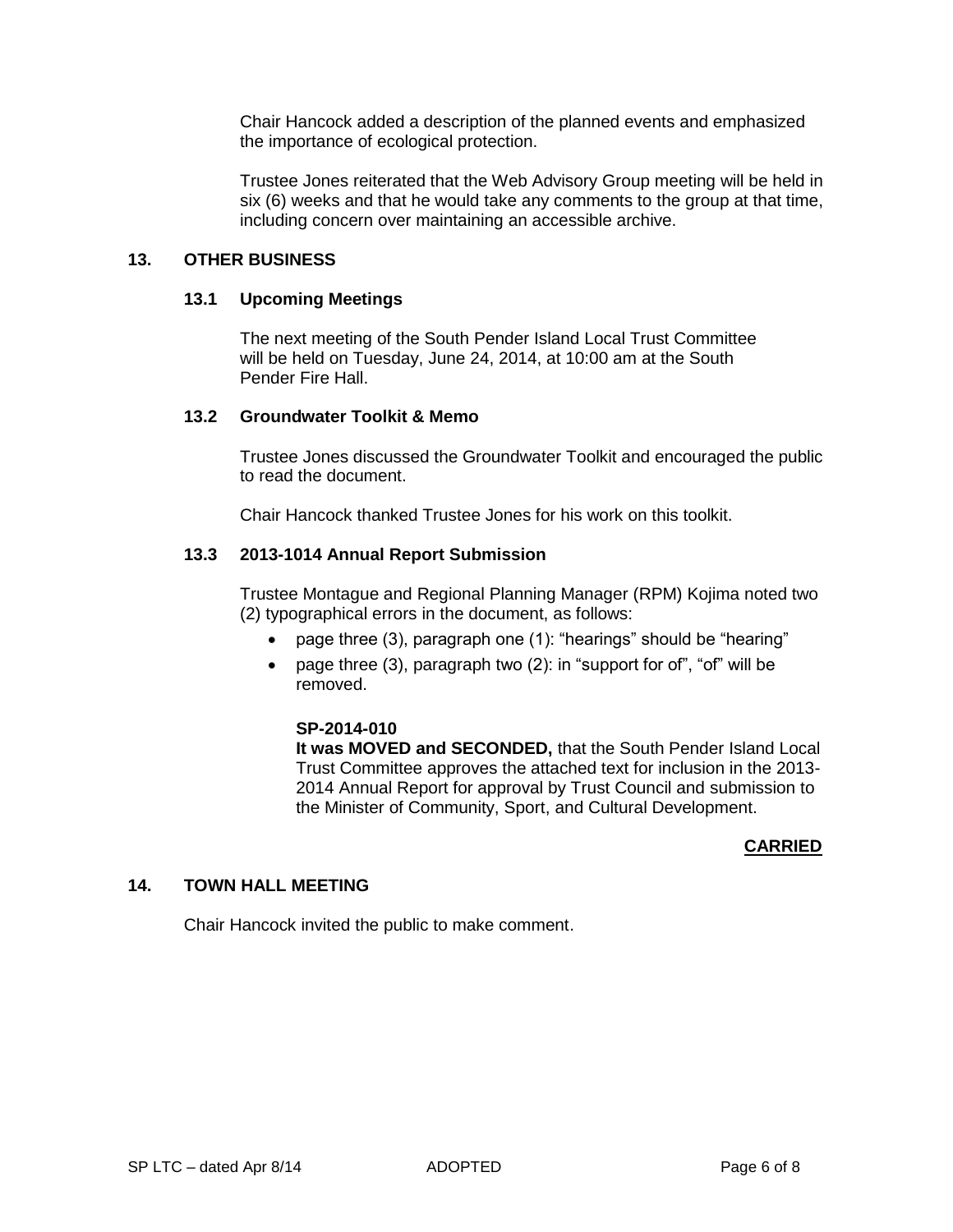Chair Hancock added a description of the planned events and emphasized the importance of ecological protection.

Trustee Jones reiterated that the Web Advisory Group meeting will be held in six (6) weeks and that he would take any comments to the group at that time, including concern over maintaining an accessible archive.

## **13. OTHER BUSINESS**

#### **13.1 Upcoming Meetings**

The next meeting of the South Pender Island Local Trust Committee will be held on Tuesday, June 24, 2014, at 10:00 am at the South Pender Fire Hall.

## **13.2 Groundwater Toolkit & Memo**

Trustee Jones discussed the Groundwater Toolkit and encouraged the public to read the document.

Chair Hancock thanked Trustee Jones for his work on this toolkit.

# **13.3 2013-1014 Annual Report Submission**

Trustee Montague and Regional Planning Manager (RPM) Kojima noted two (2) typographical errors in the document, as follows:

- page three (3), paragraph one (1): "hearings" should be "hearing"
- page three (3), paragraph two (2): in "support for of", "of" will be removed.

# **SP-2014-010**

**It was MOVED and SECONDED,** that the South Pender Island Local Trust Committee approves the attached text for inclusion in the 2013- 2014 Annual Report for approval by Trust Council and submission to the Minister of Community, Sport, and Cultural Development.

# **CARRIED**

# **14. TOWN HALL MEETING**

Chair Hancock invited the public to make comment.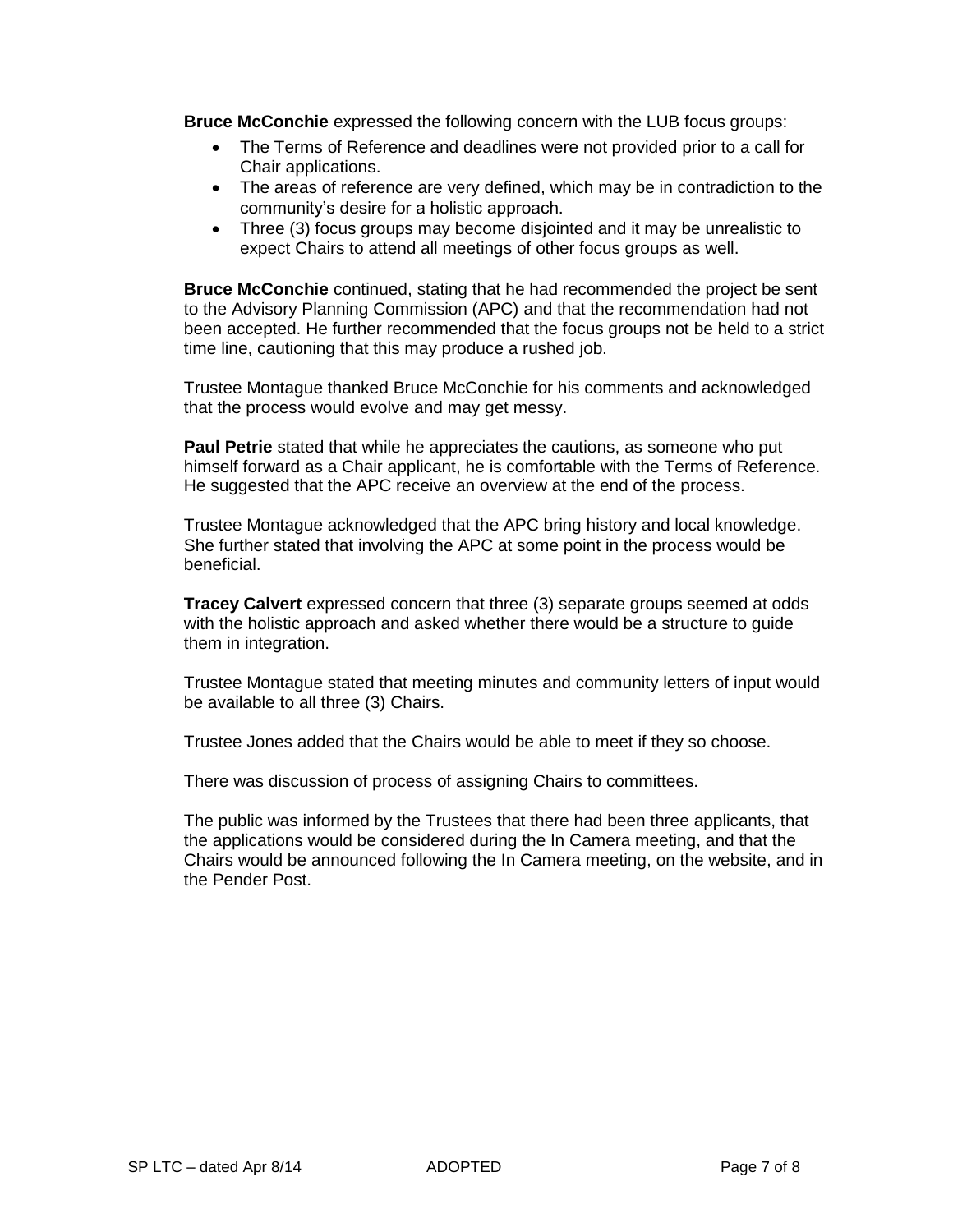**Bruce McConchie** expressed the following concern with the LUB focus groups:

- The Terms of Reference and deadlines were not provided prior to a call for Chair applications.
- The areas of reference are very defined, which may be in contradiction to the community's desire for a holistic approach.
- Three (3) focus groups may become disjointed and it may be unrealistic to expect Chairs to attend all meetings of other focus groups as well.

**Bruce McConchie** continued, stating that he had recommended the project be sent to the Advisory Planning Commission (APC) and that the recommendation had not been accepted. He further recommended that the focus groups not be held to a strict time line, cautioning that this may produce a rushed job.

Trustee Montague thanked Bruce McConchie for his comments and acknowledged that the process would evolve and may get messy.

**Paul Petrie** stated that while he appreciates the cautions, as someone who put himself forward as a Chair applicant, he is comfortable with the Terms of Reference. He suggested that the APC receive an overview at the end of the process.

Trustee Montague acknowledged that the APC bring history and local knowledge. She further stated that involving the APC at some point in the process would be beneficial.

**Tracey Calvert** expressed concern that three (3) separate groups seemed at odds with the holistic approach and asked whether there would be a structure to guide them in integration.

Trustee Montague stated that meeting minutes and community letters of input would be available to all three (3) Chairs.

Trustee Jones added that the Chairs would be able to meet if they so choose.

There was discussion of process of assigning Chairs to committees.

The public was informed by the Trustees that there had been three applicants, that the applications would be considered during the In Camera meeting, and that the Chairs would be announced following the In Camera meeting, on the website, and in the Pender Post.